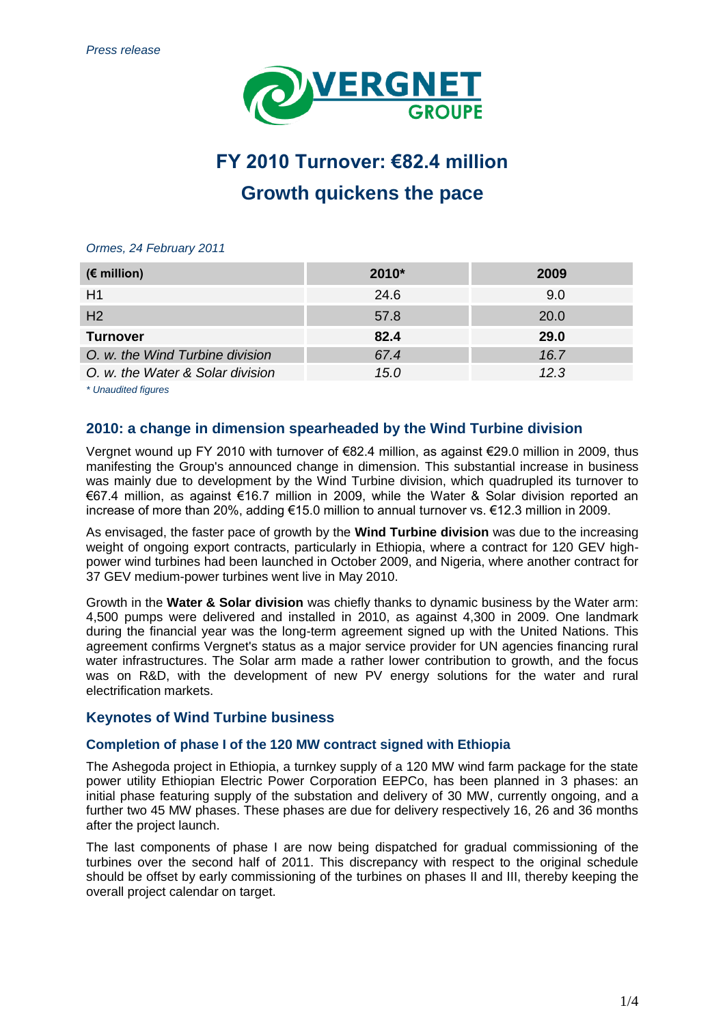

# **FY 2010 Turnover: €82.4 million Growth quickens the pace**

| $(\epsilon$ million)             | 2010* | 2009        |
|----------------------------------|-------|-------------|
| H1                               | 24.6  | 9.0         |
| H <sub>2</sub>                   | 57.8  | 20.0        |
| <b>Turnover</b>                  | 82.4  | <b>29.0</b> |
| O. w. the Wind Turbine division  | 67.4  | 16.7        |
| O. w. the Water & Solar division | 15.0  | 12.3        |

*Ormes, 24 February 2011*

*\* Unaudited figures*

## **2010: a change in dimension spearheaded by the Wind Turbine division**

Vergnet wound up FY 2010 with turnover of €82.4 million, as against €29.0 million in 2009, thus manifesting the Group's announced change in dimension. This substantial increase in business was mainly due to development by the Wind Turbine division, which quadrupled its turnover to €67.4 million, as against €16.7 million in 2009, while the Water & Solar division reported an increase of more than 20%, adding €15.0 million to annual turnover vs. €12.3 million in 2009.

As envisaged, the faster pace of growth by the **Wind Turbine division** was due to the increasing weight of ongoing export contracts, particularly in Ethiopia, where a contract for 120 GEV highpower wind turbines had been launched in October 2009, and Nigeria, where another contract for 37 GEV medium-power turbines went live in May 2010.

Growth in the **Water & Solar division** was chiefly thanks to dynamic business by the Water arm: 4,500 pumps were delivered and installed in 2010, as against 4,300 in 2009. One landmark during the financial year was the long-term agreement signed up with the United Nations. This agreement confirms Vergnet's status as a major service provider for UN agencies financing rural water infrastructures. The Solar arm made a rather lower contribution to growth, and the focus was on R&D, with the development of new PV energy solutions for the water and rural electrification markets.

## **Keynotes of Wind Turbine business**

#### **Completion of phase I of the 120 MW contract signed with Ethiopia**

The Ashegoda project in Ethiopia, a turnkey supply of a 120 MW wind farm package for the state power utility Ethiopian Electric Power Corporation EEPCo, has been planned in 3 phases: an initial phase featuring supply of the substation and delivery of 30 MW, currently ongoing, and a further two 45 MW phases. These phases are due for delivery respectively 16, 26 and 36 months after the project launch.

The last components of phase I are now being dispatched for gradual commissioning of the turbines over the second half of 2011. This discrepancy with respect to the original schedule should be offset by early commissioning of the turbines on phases II and III, thereby keeping the overall project calendar on target.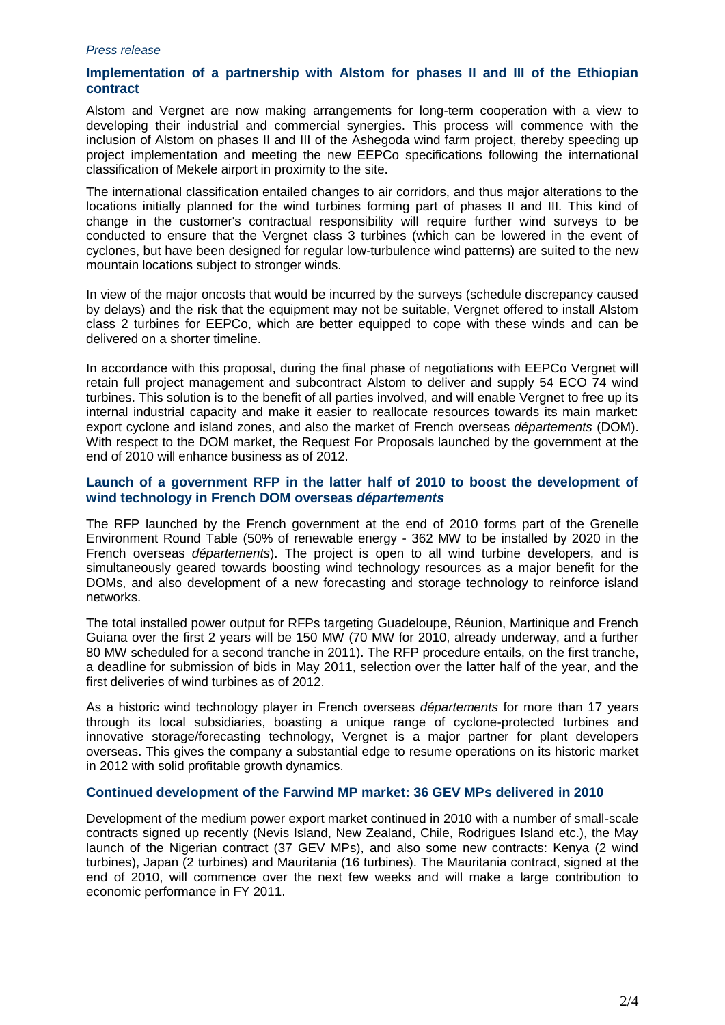#### *Press release*

#### **Implementation of a partnership with Alstom for phases II and III of the Ethiopian contract**

Alstom and Vergnet are now making arrangements for long-term cooperation with a view to developing their industrial and commercial synergies. This process will commence with the inclusion of Alstom on phases II and III of the Ashegoda wind farm project, thereby speeding up project implementation and meeting the new EEPCo specifications following the international classification of Mekele airport in proximity to the site.

The international classification entailed changes to air corridors, and thus major alterations to the locations initially planned for the wind turbines forming part of phases II and III. This kind of change in the customer's contractual responsibility will require further wind surveys to be conducted to ensure that the Vergnet class 3 turbines (which can be lowered in the event of cyclones, but have been designed for regular low-turbulence wind patterns) are suited to the new mountain locations subject to stronger winds.

In view of the major oncosts that would be incurred by the surveys (schedule discrepancy caused by delays) and the risk that the equipment may not be suitable, Vergnet offered to install Alstom class 2 turbines for EEPCo, which are better equipped to cope with these winds and can be delivered on a shorter timeline.

In accordance with this proposal, during the final phase of negotiations with EEPCo Vergnet will retain full project management and subcontract Alstom to deliver and supply 54 ECO 74 wind turbines. This solution is to the benefit of all parties involved, and will enable Vergnet to free up its internal industrial capacity and make it easier to reallocate resources towards its main market: export cyclone and island zones, and also the market of French overseas *départements* (DOM). With respect to the DOM market, the Request For Proposals launched by the government at the end of 2010 will enhance business as of 2012.

#### **Launch of a government RFP in the latter half of 2010 to boost the development of wind technology in French DOM overseas** *départements*

The RFP launched by the French government at the end of 2010 forms part of the Grenelle Environment Round Table (50% of renewable energy - 362 MW to be installed by 2020 in the French overseas *départements*). The project is open to all wind turbine developers, and is simultaneously geared towards boosting wind technology resources as a major benefit for the DOMs, and also development of a new forecasting and storage technology to reinforce island networks.

The total installed power output for RFPs targeting Guadeloupe, Réunion, Martinique and French Guiana over the first 2 years will be 150 MW (70 MW for 2010, already underway, and a further 80 MW scheduled for a second tranche in 2011). The RFP procedure entails, on the first tranche, a deadline for submission of bids in May 2011, selection over the latter half of the year, and the first deliveries of wind turbines as of 2012.

As a historic wind technology player in French overseas *départements* for more than 17 years through its local subsidiaries, boasting a unique range of cyclone-protected turbines and innovative storage/forecasting technology, Vergnet is a major partner for plant developers overseas. This gives the company a substantial edge to resume operations on its historic market in 2012 with solid profitable growth dynamics.

#### **Continued development of the Farwind MP market: 36 GEV MPs delivered in 2010**

Development of the medium power export market continued in 2010 with a number of small-scale contracts signed up recently (Nevis Island, New Zealand, Chile, Rodrigues Island etc.), the May launch of the Nigerian contract (37 GEV MPs), and also some new contracts: Kenya (2 wind turbines), Japan (2 turbines) and Mauritania (16 turbines). The Mauritania contract, signed at the end of 2010, will commence over the next few weeks and will make a large contribution to economic performance in FY 2011.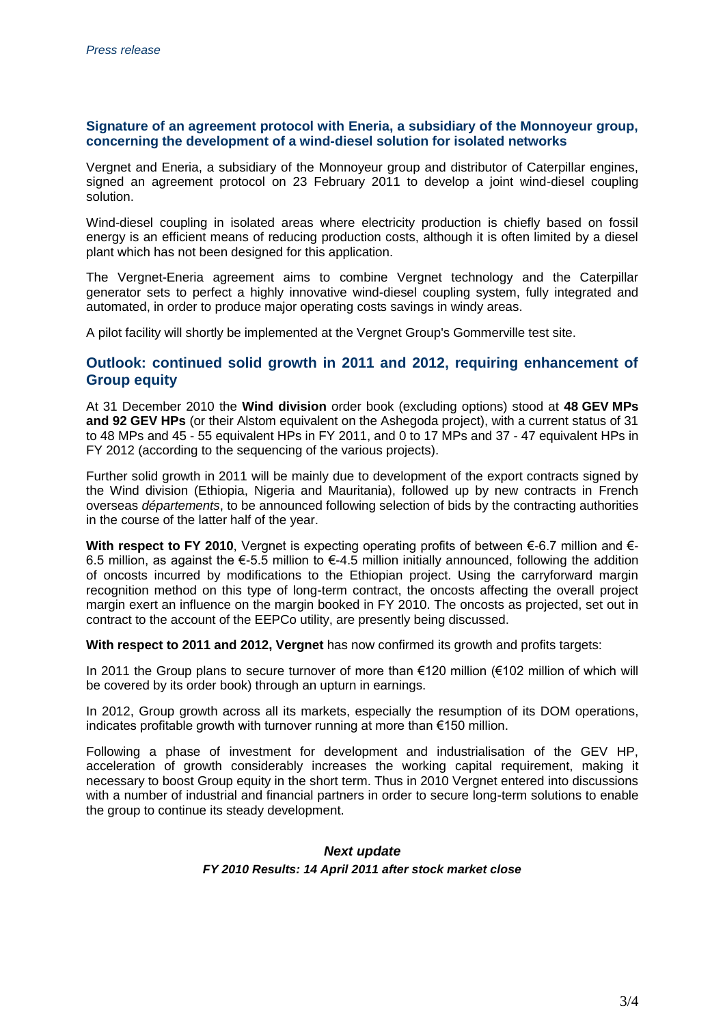#### **Signature of an agreement protocol with Eneria, a subsidiary of the Monnoyeur group, concerning the development of a wind-diesel solution for isolated networks**

Vergnet and Eneria, a subsidiary of the Monnoyeur group and distributor of Caterpillar engines, signed an agreement protocol on 23 February 2011 to develop a joint wind-diesel coupling solution.

Wind-diesel coupling in isolated areas where electricity production is chiefly based on fossil energy is an efficient means of reducing production costs, although it is often limited by a diesel plant which has not been designed for this application.

The Vergnet-Eneria agreement aims to combine Vergnet technology and the Caterpillar generator sets to perfect a highly innovative wind-diesel coupling system, fully integrated and automated, in order to produce major operating costs savings in windy areas.

A pilot facility will shortly be implemented at the Vergnet Group's Gommerville test site.

# **Outlook: continued solid growth in 2011 and 2012, requiring enhancement of Group equity**

At 31 December 2010 the **Wind division** order book (excluding options) stood at **48 GEV MPs and 92 GEV HPs** (or their Alstom equivalent on the Ashegoda project), with a current status of 31 to 48 MPs and 45 - 55 equivalent HPs in FY 2011, and 0 to 17 MPs and 37 - 47 equivalent HPs in FY 2012 (according to the sequencing of the various projects).

Further solid growth in 2011 will be mainly due to development of the export contracts signed by the Wind division (Ethiopia, Nigeria and Mauritania), followed up by new contracts in French overseas *départements*, to be announced following selection of bids by the contracting authorities in the course of the latter half of the year.

**With respect to FY 2010.** Vergnet is expecting operating profits of between €-6.7 million and €-6.5 million, as against the €-5.5 million to €-4.5 million initially announced, following the addition of oncosts incurred by modifications to the Ethiopian project. Using the carryforward margin recognition method on this type of long-term contract, the oncosts affecting the overall project margin exert an influence on the margin booked in FY 2010. The oncosts as projected, set out in contract to the account of the EEPCo utility, are presently being discussed.

With respect to 2011 and 2012, Vergnet has now confirmed its growth and profits targets:

In 2011 the Group plans to secure turnover of more than €120 million (€102 million of which will be covered by its order book) through an upturn in earnings.

In 2012, Group growth across all its markets, especially the resumption of its DOM operations, indicates profitable growth with turnover running at more than €150 million.

Following a phase of investment for development and industrialisation of the GEV HP, acceleration of growth considerably increases the working capital requirement, making it necessary to boost Group equity in the short term. Thus in 2010 Vergnet entered into discussions with a number of industrial and financial partners in order to secure long-term solutions to enable the group to continue its steady development.

# *Next update FY 2010 Results: 14 April 2011 after stock market close*